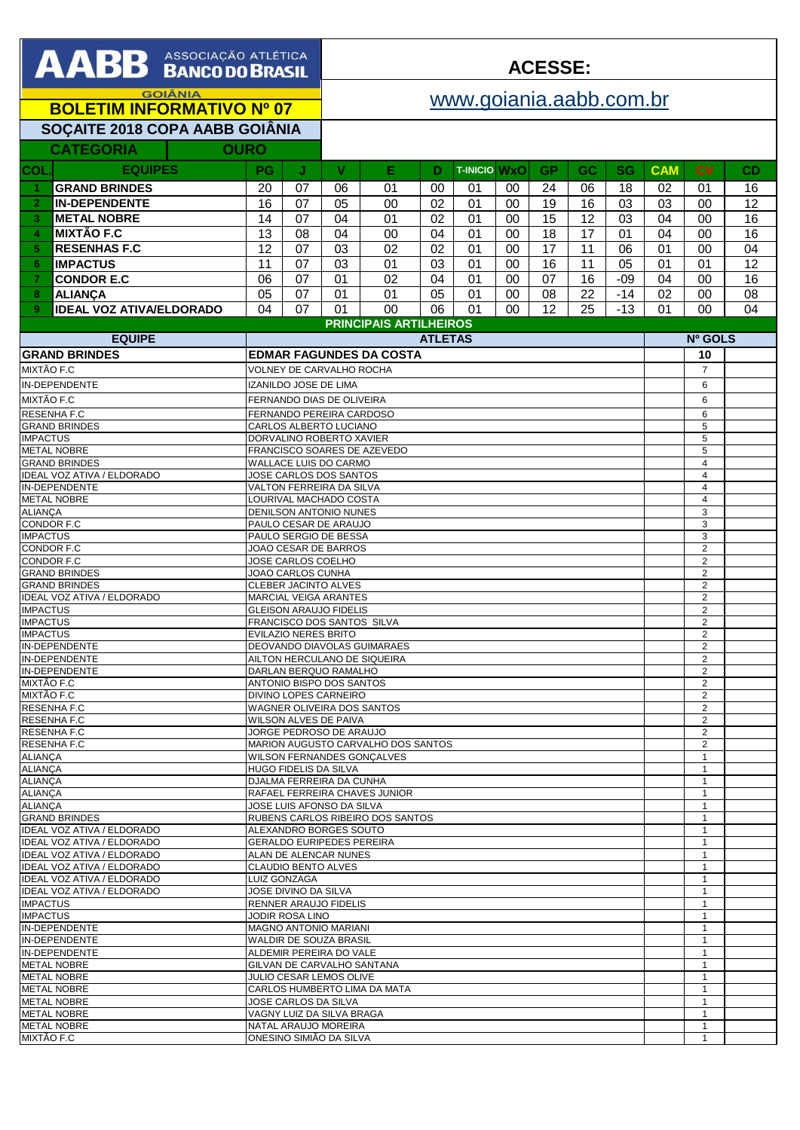| AABB ASSOCIAÇÃO ATLÉTICA                                         |                                                   |                                                             |                                                       | <b>ACESSE:</b>            |                               |                       |                     |          |                       |                              |                              |                                  |                                  |          |
|------------------------------------------------------------------|---------------------------------------------------|-------------------------------------------------------------|-------------------------------------------------------|---------------------------|-------------------------------|-----------------------|---------------------|----------|-----------------------|------------------------------|------------------------------|----------------------------------|----------------------------------|----------|
| <b>GOIÂNIA</b><br><b>BOLETIM INFORMATIVO Nº 07</b>               |                                                   |                                                             |                                                       | www.goiania.aabb.com.br   |                               |                       |                     |          |                       |                              |                              |                                  |                                  |          |
| SOCAITE 2018 COPA AABB GOIÂNIA                                   |                                                   |                                                             |                                                       |                           |                               |                       |                     |          |                       |                              |                              |                                  |                                  |          |
|                                                                  | <b>CATEGORIA</b>                                  | <b>OURO</b>                                                 |                                                       |                           |                               |                       |                     |          |                       |                              |                              |                                  |                                  |          |
| COL                                                              | <b>EQUIPES</b>                                    | PG                                                          | J                                                     | V                         | Е                             | D                     | <b>T-INICIO WXO</b> |          | <b>GP</b>             | GC                           | <b>SG</b>                    | <b>CAM</b>                       | <b>CV</b>                        | CD       |
| 1.                                                               | <b>GRAND BRINDES</b>                              | 20                                                          | 07                                                    | 06                        | 01                            | 00                    | 01                  | 00       | 24                    | 06                           | 18                           | 02                               | 01                               | 16       |
| $\overline{2}$<br>3                                              | <b>IN-DEPENDENTE</b><br><b>METAL NOBRE</b>        | 16<br>14                                                    | 07<br>07                                              | 05<br>04                  | 00<br>01                      | 02<br>02              | 01<br>01            | 00<br>00 | 19<br>$\overline{15}$ | 16<br>12                     | 03<br>$\overline{03}$        | 03<br>04                         | 00<br>00                         | 12<br>16 |
| 4                                                                | <b>MIXTÃO F.C</b>                                 | $\overline{13}$                                             | 08                                                    | 04                        | 00                            | 04                    | 01                  | 00       | $\overline{18}$       | $\overline{17}$              | 01                           | 04                               | 00                               | 16       |
| 5.                                                               | <b>RESENHAS F.C</b>                               | 12                                                          | 07                                                    | 03                        | 02                            | 02                    | 01                  | 00       | 17                    | 11                           | 06                           | 01                               | 00                               | 04       |
| 6                                                                | <b>IMPACTUS</b>                                   | 11                                                          | 07                                                    | 03                        | 01                            | 03                    | 01                  | 00       | 16                    | 11                           | 05                           | 01                               | 01                               | 12       |
| $\overline{7}$                                                   | <b>CONDOR E.C</b>                                 | 06<br>05                                                    | 07                                                    | 01<br>01                  | 02                            | 04<br>$\overline{05}$ | 01                  | 00<br>00 | 07<br>08              | 16<br>$\overline{22}$        | $-09$                        | 04<br>02                         | 00<br>00                         | 16<br>08 |
| 8<br>9                                                           | <b>ALIANÇA</b><br><b>IDEAL VOZ ATIVA/ELDORADO</b> | 04                                                          | 07<br>07                                              | 01                        | 01<br>00                      | 06                    | 01<br>01            | $00\,$   | 12                    | 25                           | $-14$<br>$-13$               | 01                               | $00\,$                           | 04       |
|                                                                  |                                                   |                                                             |                                                       |                           | <b>PRINCIPAIS ARTILHEIROS</b> |                       |                     |          |                       |                              |                              |                                  |                                  |          |
| <b>EQUIPE</b>                                                    |                                                   | <b>ATLETAS</b>                                              |                                                       |                           |                               |                       |                     |          |                       |                              | Nº GOLS                      |                                  |                                  |          |
| <b>GRAND BRINDES</b>                                             |                                                   |                                                             | <b>EDMAR FAGUNDES DA COSTA</b>                        |                           |                               |                       |                     |          |                       |                              |                              |                                  | 10<br>$\overline{7}$             |          |
| MIXTÃO F.C<br><b>IN-DEPENDENTE</b>                               |                                                   |                                                             | VOLNEY DE CARVALHO ROCHA<br>IZANILDO JOSE DE LIMA     |                           |                               |                       |                     |          |                       |                              |                              |                                  | 6                                |          |
| MIXTÃO F.C                                                       |                                                   |                                                             |                                                       | FERNANDO DIAS DE OLIVEIRA |                               |                       |                     |          |                       |                              |                              |                                  | 6                                |          |
| <b>RESENHA F.C</b>                                               |                                                   | FERNANDO PEREIRA CARDOSO                                    |                                                       |                           |                               |                       |                     |          |                       |                              |                              | 6                                |                                  |          |
| <b>GRAND BRINDES</b><br><b>IMPACTUS</b>                          |                                                   |                                                             | CARLOS ALBERTO LUCIANO<br>DORVALINO ROBERTO XAVIER    |                           |                               |                       |                     |          |                       |                              |                              |                                  | 5<br>5                           |          |
| <b>METAL NOBRE</b>                                               |                                                   |                                                             | FRANCISCO SOARES DE AZEVEDO                           |                           |                               |                       |                     |          |                       |                              |                              |                                  | 5<br>$\overline{4}$              |          |
| <b>GRAND BRINDES</b><br>IDEAL VOZ ATIVA / ELDORADO               |                                                   |                                                             | WALLACE LUIS DO CARMO<br>JOSE CARLOS DOS SANTOS       |                           |                               |                       |                     |          |                       |                              |                              |                                  | $\overline{4}$                   |          |
| IN-DEPENDENTE                                                    |                                                   |                                                             | VALTON FERREIRA DA SILVA<br>LOURIVAL MACHADO COSTA    |                           |                               |                       |                     |          |                       |                              |                              |                                  | $\overline{4}$<br>$\overline{4}$ |          |
| <b>METAL NOBRE</b><br><b>ALIANÇA</b>                             |                                                   |                                                             | DENILSON ANTONIO NUNES                                |                           |                               |                       |                     |          |                       |                              |                              |                                  | 3                                |          |
| CONDOR F.C                                                       |                                                   | PAULO CESAR DE ARAUJO                                       |                                                       |                           |                               |                       |                     |          |                       |                              |                              | 3<br>3                           |                                  |          |
| <b>IMPACTUS</b><br>CONDOR F.C                                    |                                                   | PAULO SERGIO DE BESSA<br>JOAO CESAR DE BARROS               |                                                       |                           |                               |                       |                     |          |                       |                              |                              | $\sqrt{2}$                       |                                  |          |
| CONDOR F.C                                                       |                                                   | JOSE CARLOS COELHO                                          |                                                       |                           |                               |                       |                     |          |                       |                              |                              | $\overline{2}$                   |                                  |          |
| <b>GRAND BRINDES</b><br><b>GRAND BRINDES</b>                     |                                                   | JOAO CARLOS CUNHA<br>CLEBER JACINTO ALVES                   |                                                       |                           |                               |                       |                     |          |                       |                              |                              | $\overline{2}$<br>$\overline{2}$ |                                  |          |
| IDEAL VOZ ATIVA / ELDORADO                                       |                                                   | MARCIAL VEIGA ARANTES                                       |                                                       |                           |                               |                       |                     |          |                       |                              |                              | 2                                |                                  |          |
| <b>IMPACTUS</b><br><b>IMPACTUS</b>                               |                                                   | <b>GLEISON ARAUJO FIDELIS</b><br>FRANCISCO DOS SANTOS SILVA |                                                       |                           |                               |                       |                     |          |                       |                              |                              | 2<br>2                           |                                  |          |
| <b>IMPACTUS</b>                                                  |                                                   | <b>EVILAZIO NERES BRITO</b>                                 |                                                       |                           |                               |                       |                     |          |                       |                              |                              | $\overline{2}$                   |                                  |          |
| IN-DEPENDENTE<br>IN-DEPENDENTE                                   |                                                   | DEOVANDO DIAVOLAS GUIMARAES<br>AILTON HERCULANO DE SIQUEIRA |                                                       |                           |                               |                       |                     |          |                       |                              |                              | 2<br>2                           |                                  |          |
| IN-DEPENDENTE                                                    |                                                   | DARLAN BERQUO RAMALHO                                       |                                                       |                           |                               |                       |                     |          |                       |                              |                              | 2                                |                                  |          |
| MIXTÃO F.C<br>MIXTÃO F.C                                         |                                                   | ANTONIO BISPO DOS SANTOS<br>DIVINO LOPES CARNEIRO           |                                                       |                           |                               |                       |                     |          |                       |                              |                              | 2<br>2                           |                                  |          |
| <b>RESENHA F.C</b>                                               |                                                   | <b>WAGNER OLIVEIRA DOS SANTOS</b>                           |                                                       |                           |                               |                       |                     |          |                       |                              |                              | $\overline{2}$                   |                                  |          |
| <b>RESENHA F.C</b><br><b>RESENHAF.C</b>                          |                                                   | <b>WILSON ALVES DE PAIVA</b><br>JORGE PEDROSO DE ARAUJO     |                                                       |                           |                               |                       |                     |          |                       |                              |                              | $\overline{2}$<br>2              |                                  |          |
| RESENHA F.C                                                      |                                                   | MARION AUGUSTO CARVALHO DOS SANTOS                          |                                                       |                           |                               |                       |                     |          |                       |                              |                              | 2                                |                                  |          |
| <b>ALIANÇA</b><br><b>ALIANÇA</b>                                 |                                                   | WILSON FERNANDES GONCALVES<br>HUGO FIDELIS DA SILVA         |                                                       |                           |                               |                       |                     |          |                       |                              | $\mathbf{1}$<br>$\mathbf{1}$ |                                  |                                  |          |
| <b>ALIANÇA</b>                                                   |                                                   |                                                             | DJALMA FERREIRA DA CUNHA                              |                           |                               |                       |                     |          |                       |                              |                              |                                  |                                  |          |
| <b>ALIANÇA</b><br><b>ALIANCA</b>                                 |                                                   | RAFAEL FERREIRA CHAVES JUNIOR<br>JOSE LUIS AFONSO DA SILVA  |                                                       |                           |                               |                       |                     |          |                       |                              |                              |                                  |                                  |          |
| <b>GRAND BRINDES</b>                                             |                                                   |                                                             | RUBENS CARLOS RIBEIRO DOS SANTOS                      |                           |                               |                       |                     |          |                       |                              |                              |                                  | -1                               |          |
| IDEAL VOZ ATIVA / ELDORADO<br>IDEAL VOZ ATIVA / ELDORADO         |                                                   | ALEXANDRO BORGES SOUTO<br>GERALDO EURIPEDES PEREIRA         |                                                       |                           |                               |                       |                     |          |                       |                              |                              |                                  | 1                                |          |
| IDEAL VOZ ATIVA / ELDORADO                                       |                                                   | ALAN DE ALENCAR NUNES                                       |                                                       |                           |                               |                       |                     |          |                       |                              |                              | -1                               |                                  |          |
| IDEAL VOZ ATIVA / ELDORADO<br><b>IDEAL VOZ ATIVA / ELDORADO</b>  |                                                   | CLAUDIO BENTO ALVES<br>LUIZ GONZAGA                         |                                                       |                           |                               |                       |                     |          |                       |                              | $\mathbf{1}$<br>-1           |                                  |                                  |          |
| <b>IDEAL VOZ ATIVA / ELDORADO</b>                                |                                                   | JOSE DIVINO DA SILVA                                        |                                                       |                           |                               |                       |                     |          |                       |                              | $\mathbf{1}$                 |                                  |                                  |          |
| <b>IMPACTUS</b><br><b>IMPACTUS</b>                               |                                                   |                                                             | RENNER ARAUJO FIDELIS                                 |                           |                               |                       |                     |          |                       |                              |                              | $\mathbf{1}$<br>$\mathbf{1}$     |                                  |          |
| JODIR ROSA LINO<br>IN-DEPENDENTE<br><b>MAGNO ANTONIO MARIANI</b> |                                                   |                                                             |                                                       |                           |                               |                       |                     |          |                       |                              | -1                           |                                  |                                  |          |
| IN-DEPENDENTE<br>WALDIR DE SOUZA BRASIL                          |                                                   |                                                             |                                                       |                           |                               |                       |                     |          |                       |                              | $\mathbf{1}$                 |                                  |                                  |          |
| IN-DEPENDENTE<br><b>METAL NOBRE</b>                              |                                                   |                                                             | ALDEMIR PEREIRA DO VALE<br>GILVAN DE CARVALHO SANTANA |                           |                               |                       |                     |          |                       |                              |                              | -1<br>$\mathbf{1}$               |                                  |          |
| <b>METAL NOBRE</b>                                               |                                                   |                                                             | JULIO CESAR LEMOS OLIVE                               |                           |                               |                       |                     |          |                       |                              | $\mathbf{1}$                 |                                  |                                  |          |
| <b>METAL NOBRE</b><br><b>METAL NOBRE</b>                         |                                                   | CARLOS HUMBERTO LIMA DA MATA<br>JOSE CARLOS DA SILVA        |                                                       |                           |                               |                       |                     |          |                       | $\mathbf{1}$<br>$\mathbf{1}$ |                              |                                  |                                  |          |
| <b>METAL NOBRE</b>                                               |                                                   |                                                             | VAGNY LUIZ DA SILVA BRAGA<br>NATAL ARAUJO MOREIRA     |                           |                               |                       |                     |          |                       |                              | $\mathbf{1}$                 |                                  |                                  |          |
|                                                                  | <b>METAL NOBRE</b>                                |                                                             |                                                       | ONESINO SIMIÃO DA SILVA   |                               |                       |                     |          |                       |                              |                              |                                  | $\mathbf{1}$<br>$\mathbf{1}$     |          |
| MIXTÃO F.C                                                       |                                                   |                                                             |                                                       |                           |                               |                       |                     |          |                       |                              |                              |                                  |                                  |          |